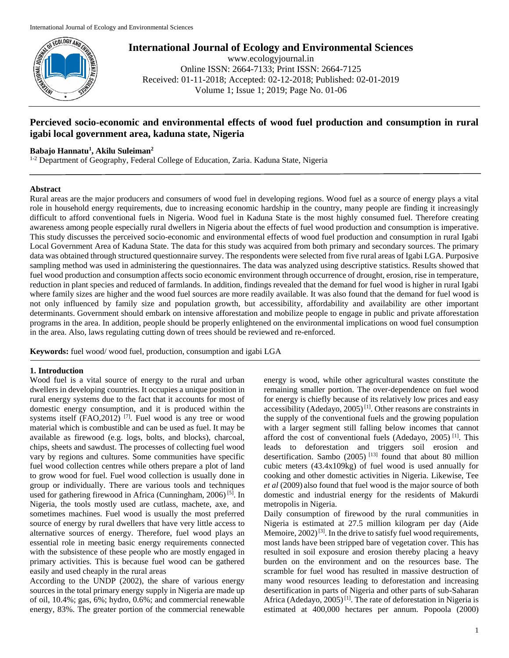

**International Journal of Ecology and Environmental Sciences**

www.ecologyjournal.in Online ISSN: 2664-7133; Print ISSN: 2664-7125 Received: 01-11-2018; Accepted: 02-12-2018; Published: 02-01-2019 Volume 1; Issue 1; 2019; Page No. 01-06

# **Percieved socio-economic and environmental effects of wood fuel production and consumption in rural igabi local government area, kaduna state, Nigeria**

### **Babajo Hannatu<sup>1</sup> , Akilu Suleiman<sup>2</sup>**

<sup>1-2</sup> Department of Geography, Federal College of Education, Zaria. Kaduna State, Nigeria

### **Abstract**

Rural areas are the major producers and consumers of wood fuel in developing regions. Wood fuel as a source of energy plays a vital role in household energy requirements, due to increasing economic hardship in the country, many people are finding it increasingly difficult to afford conventional fuels in Nigeria. Wood fuel in Kaduna State is the most highly consumed fuel. Therefore creating awareness among people especially rural dwellers in Nigeria about the effects of fuel wood production and consumption is imperative. This study discusses the perceived socio-economic and environmental effects of wood fuel production and consumption in rural Igabi Local Government Area of Kaduna State. The data for this study was acquired from both primary and secondary sources. The primary data was obtained through structured questionnaire survey. The respondents were selected from five rural areas of Igabi LGA. Purposive sampling method was used in administering the questionnaires. The data was analyzed using descriptive statistics. Results showed that fuel wood production and consumption affects socio economic environment through occurrence of drought, erosion, rise in temperature, reduction in plant species and reduced of farmlands. In addition, findings revealed that the demand for fuel wood is higher in rural Igabi where family sizes are higher and the wood fuel sources are more readily available. It was also found that the demand for fuel wood is not only influenced by family size and population growth, but accessibility, affordability and availability are other important determinants. Government should embark on intensive afforestation and mobilize people to engage in public and private afforestation programs in the area. In addition, people should be properly enlightened on the environmental implications on wood fuel consumption in the area. Also, laws regulating cutting down of trees should be reviewed and re-enforced.

**Keywords:** fuel wood/ wood fuel, production, consumption and igabi LGA

#### **1. Introduction**

Wood fuel is a vital source of energy to the rural and urban dwellers in developing countries. It occupies a unique position in rural energy systems due to the fact that it accounts for most of domestic energy consumption, and it is produced within the systems itself  $(FAO, 2012)$ <sup>[7]</sup>. Fuel wood is any tree or wood material which is combustible and can be used as fuel. It may be available as firewood (e.g. logs, bolts, and blocks), charcoal, chips, sheets and sawdust. The processes of collecting fuel wood vary by regions and cultures. Some communities have specific fuel wood collection centres while others prepare a plot of land to grow wood for fuel. Fuel wood collection is usually done in group or individually. There are various tools and techniques used for gathering firewood in Africa (Cunningham, 2006) [5] . In Nigeria, the tools mostly used are cutlass, machete, axe, and sometimes machines. Fuel wood is usually the most preferred source of energy by rural dwellers that have very little access to alternative sources of energy. Therefore, fuel wood plays an essential role in meeting basic energy requirements connected with the subsistence of these people who are mostly engaged in primary activities. This is because fuel wood can be gathered easily and used cheaply in the rural areas

According to the UNDP (2002), the share of various energy sources in the total primary energy supply in Nigeria are made up of oil, 10.4%; gas, 6%; hydro, 0.6%; and commercial renewable energy, 83%. The greater portion of the commercial renewable energy is wood, while other agricultural wastes constitute the remaining smaller portion. The over-dependence on fuel wood for energy is chiefly because of its relatively low prices and easy accessibility (Adedayo,  $2005$ )<sup>[1]</sup>. Other reasons are constraints in the supply of the conventional fuels and the growing population with a larger segment still falling below incomes that cannot afford the cost of conventional fuels (Adedayo, 2005)<sup>[1]</sup>. This leads to deforestation and triggers soil erosion and desertification. Sambo  $(2005)^{[13]}$  found that about 80 million cubic meters (43.4x109kg) of fuel wood is used annually for cooking and other domestic activities in Nigeria. Likewise, Tee *et al* (2009) also found that fuel wood is the major source of both domestic and industrial energy for the residents of Makurdi metropolis in Nigeria.

Daily consumption of firewood by the rural communities in Nigeria is estimated at 27.5 million kilogram per day (Aide Memoire,  $2002$ <sup>[3]</sup>. In the drive to satisfy fuel wood requirements, most lands have been stripped bare of vegetation cover. This has resulted in soil exposure and erosion thereby placing a heavy burden on the environment and on the resources base. The scramble for fuel wood has resulted in massive destruction of many wood resources leading to deforestation and increasing desertification in parts of Nigeria and other parts of sub-Saharan Africa (Adedayo, 2005)<sup>[1]</sup>. The rate of deforestation in Nigeria is estimated at 400,000 hectares per annum. Popoola (2000)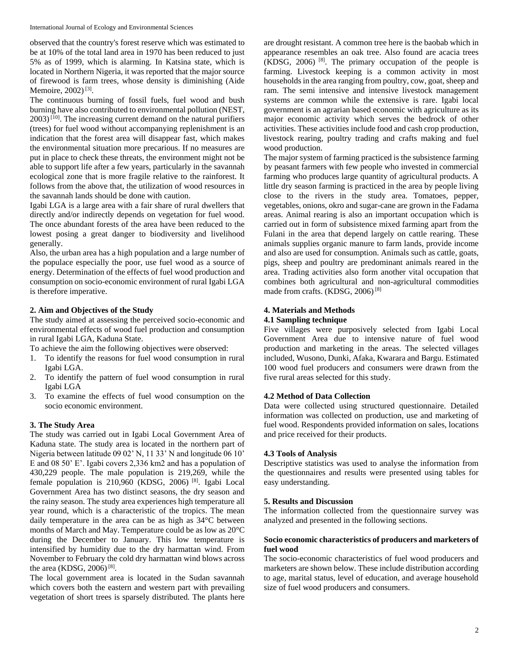observed that the country's forest reserve which was estimated to be at 10% of the total land area in 1970 has been reduced to just 5% as of 1999, which is alarming. In Katsina state, which is located in Northern Nigeria, it was reported that the major source of firewood is farm trees, whose density is diminishing (Aide Memoire, 2002)<sup>[3]</sup>.

The continuous burning of fossil fuels, fuel wood and bush burning have also contributed to environmental pollution (NEST,  $2003$ <sup>[10]</sup>. The increasing current demand on the natural purifiers (trees) for fuel wood without accompanying replenishment is an indication that the forest area will disappear fast, which makes the environmental situation more precarious. If no measures are put in place to check these threats, the environment might not be able to support life after a few years, particularly in the savannah ecological zone that is more fragile relative to the rainforest. It follows from the above that, the utilization of wood resources in the savannah lands should be done with caution.

Igabi LGA is a large area with a fair share of rural dwellers that directly and/or indirectly depends on vegetation for fuel wood. The once abundant forests of the area have been reduced to the lowest posing a great danger to biodiversity and livelihood generally.

Also, the urban area has a high population and a large number of the populace especially the poor, use fuel wood as a source of energy. Determination of the effects of fuel wood production and consumption on socio-economic environment of rural Igabi LGA is therefore imperative.

## **2. Aim and Objectives of the Study**

The study aimed at assessing the perceived socio-economic and environmental effects of wood fuel production and consumption in rural Igabi LGA, Kaduna State.

To achieve the aim the following objectives were observed:

- 1. To identify the reasons for fuel wood consumption in rural Igabi LGA.
- 2. To identify the pattern of fuel wood consumption in rural Igabi LGA
- 3. To examine the effects of fuel wood consumption on the socio economic environment.

## **3. The Study Area**

The study was carried out in Igabi Local Government Area of Kaduna state. The study area is located in the northern part of Nigeria between latitude 09 02' N, 11 33' N and longitude 06 10' E and 08 50' E'. Igabi covers 2,336 km2 and has a population of 430,229 people. The male population is 219,269, while the female population is 210,960 (KDSG, 2006)<sup>[8]</sup>. Igabi Local Government Area has two distinct seasons, the dry season and the rainy season. The study area experiences high temperature all year round, which is a characteristic of the tropics. The mean daily temperature in the area can be as high as 34°C between months of March and May. Temperature could be as low as 20°C during the December to January. This low temperature is intensified by humidity due to the dry harmattan wind. From November to February the cold dry harmattan wind blows across the area (KDSG, 2006)<sup>[8]</sup>.

The local government area is located in the Sudan savannah which covers both the eastern and western part with prevailing vegetation of short trees is sparsely distributed. The plants here are drought resistant. A common tree here is the baobab which in appearance resembles an oak tree. Also found are acacia trees  $(KDSG, 2006)$ <sup>[8]</sup>. The primary occupation of the people is farming. Livestock keeping is a common activity in most households in the area ranging from poultry, cow, goat, sheep and ram. The semi intensive and intensive livestock management systems are common while the extensive is rare. Igabi local government is an agrarian based economic with agriculture as its major economic activity which serves the bedrock of other activities. These activities include food and cash crop production, livestock rearing, poultry trading and crafts making and fuel wood production.

The major system of farming practiced is the subsistence farming by peasant farmers with few people who invested in commercial farming who produces large quantity of agricultural products. A little dry season farming is practiced in the area by people living close to the rivers in the study area. Tomatoes, pepper, vegetables, onions, okro and sugar-cane are grown in the Fadama areas. Animal rearing is also an important occupation which is carried out in form of subsistence mixed farming apart from the Fulani in the area that depend largely on cattle rearing. These animals supplies organic manure to farm lands, provide income and also are used for consumption. Animals such as cattle, goats, pigs, sheep and poultry are predominant animals reared in the area. Trading activities also form another vital occupation that combines both agricultural and non-agricultural commodities made from crafts. (KDSG, 2006)<sup>[8]</sup>

# **4. Materials and Methods**

## **4.1 Sampling technique**

Five villages were purposively selected from Igabi Local Government Area due to intensive nature of fuel wood production and marketing in the areas. The selected villages included, Wusono, Dunki, Afaka, Kwarara and Bargu. Estimated 100 wood fuel producers and consumers were drawn from the five rural areas selected for this study.

#### **4.2 Method of Data Collection**

Data were collected using structured questionnaire. Detailed information was collected on production, use and marketing of fuel wood. Respondents provided information on sales, locations and price received for their products.

#### **4.3 Tools of Analysis**

Descriptive statistics was used to analyse the information from the questionnaires and results were presented using tables for easy understanding.

#### **5. Results and Discussion**

The information collected from the questionnaire survey was analyzed and presented in the following sections.

#### **Socio economic characteristics of producers and marketers of fuel wood**

The socio-economic characteristics of fuel wood producers and marketers are shown below. These include distribution according to age, marital status, level of education, and average household size of fuel wood producers and consumers.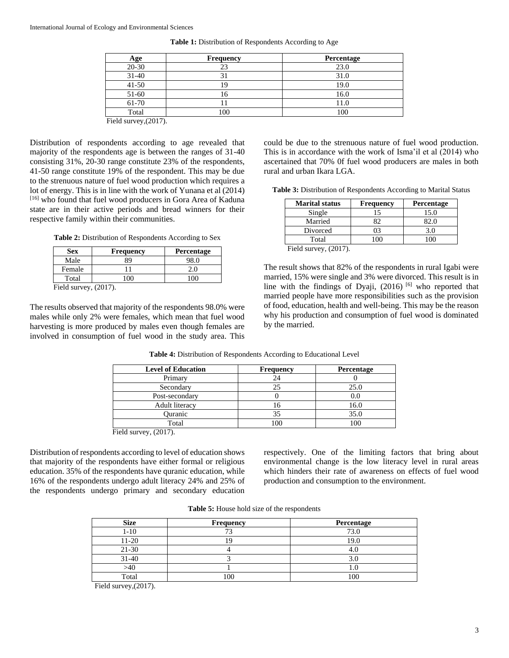| <b>Age</b>           | <b>Frequency</b> | Percentage |
|----------------------|------------------|------------|
| $20 - 30$            |                  | 23.0       |
| $31 - 40$            |                  | 31.0       |
| $41 - 50$            |                  | 19.0       |
| 51-60                | . O              | 16.0       |
| 61-70                |                  | 11.0       |
| Total                | 100              | 100        |
| $T''$ 1.1<br>(0.017) |                  |            |

**Table 1:** Distribution of Respondents According to Age

Field survey,(2017).

Distribution of respondents according to age revealed that majority of the respondents age is between the ranges of 31-40 consisting 31%, 20-30 range constitute 23% of the respondents, 41-50 range constitute 19% of the respondent. This may be due to the strenuous nature of fuel wood production which requires a lot of energy. This is in line with the work of Yunana et al (2014) [16] who found that fuel wood producers in Gora Area of Kaduna state are in their active periods and bread winners for their respective family within their communities.

Table 2: Distribution of Respondents According to Sex

| <b>Sex</b>                   | Frequency | <b>Percentage</b> |
|------------------------------|-----------|-------------------|
| Male                         | 89        | 98.0              |
| Female                       |           | 2.0               |
| Total                        | ൜         |                   |
| $E_{\rm{old}}$ curvey (2017) |           |                   |

Field survey,  $(2017)$ .

The results observed that majority of the respondents 98.0% were males while only 2% were females, which mean that fuel wood harvesting is more produced by males even though females are involved in consumption of fuel wood in the study area. This could be due to the strenuous nature of fuel wood production. This is in accordance with the work of Isma'il et al (2014) who ascertained that 70% 0f fuel wood producers are males in both rural and urban Ikara LGA.

**Table 3:** Distribution of Respondents According to Marital Status

| <b>Marital status</b>    | <b>Frequency</b> | Percentage |
|--------------------------|------------------|------------|
| Single                   | 15               | 15.0       |
| Married                  | 82               | 82.0       |
| Divorced                 | 03               | 3.0        |
| Total                    | 100              | 100        |
| Field survey, $(2017)$ . |                  |            |

The result shows that 82% of the respondents in rural Igabi were married, 15% were single and 3% were divorced. This result is in line with the findings of Dyaji,  $(2016)$  [6] who reported that married people have more responsibilities such as the provision of food, education, health and well-being. This may be the reason why his production and consumption of fuel wood is dominated by the married.

| <b>Level of Education</b>   | <b>Frequency</b> | Percentage |
|-----------------------------|------------------|------------|
| Primary                     |                  |            |
| Secondary                   | 25               | 25.0       |
| Post-secondary              |                  | 0.0        |
| <b>Adult literacy</b>       | 16               | 16.0       |
| Ouranic                     | 35               | 35.0       |
| Total                       | 100              | 100        |
| $\ddot{a}$ dd guruau (2017) |                  |            |

**Table 4:** Distribution of Respondents According to Educational Level

Field survey,  $(201)$ 

Distribution of respondents according to level of education shows that majority of the respondents have either formal or religious education. 35% of the respondents have quranic education, while 16% of the respondents undergo adult literacy 24% and 25% of the respondents undergo primary and secondary education

respectively. One of the limiting factors that bring about environmental change is the low literacy level in rural areas which hinders their rate of awareness on effects of fuel wood production and consumption to the environment.

| <b>Table 5:</b> House hold size of the respondents |  |  |  |
|----------------------------------------------------|--|--|--|
|----------------------------------------------------|--|--|--|

| <b>Size</b> | <b>Frequency</b> | Percentage |
|-------------|------------------|------------|
| $1 - 10$    |                  | 73.0       |
| 11-20       |                  | 19.0       |
| $21-30$     |                  |            |
| $31 - 40$   |                  |            |
| >40         |                  |            |
| Total       | 100              | 100        |

Field survey,(2017).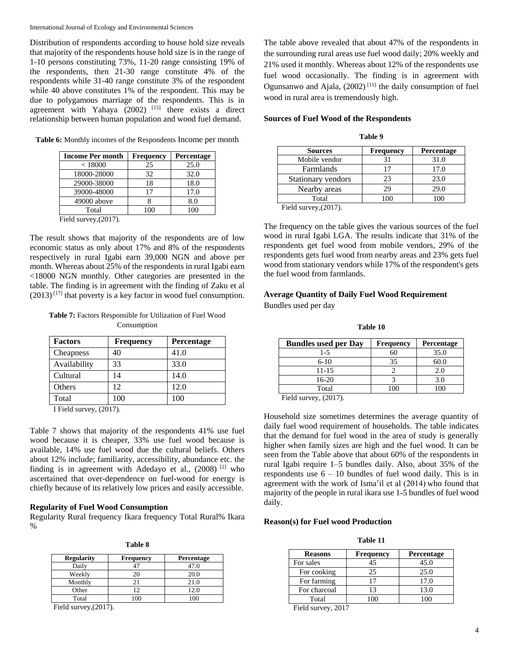Distribution of respondents according to house hold size reveals that majority of the respondents house hold size is in the range of 1-10 persons constituting 73%, 11-20 range consisting 19% of the respondents, then 21-30 range constitute 4% of the respondents while 31-40 range constitute 3% of the respondent while 40 above constitutes 1% of the respondent. This may be due to polygamous marriage of the respondents. This is in agreement with Yahaya  $(2002)$ <sup>[15]</sup> there exists a direct relationship between human population and wood fuel demand.

**Table 6:** Monthly incomes of the Respondents Income per month

| <b>Income Per month</b>    | <b>Frequency</b> | Percentage |
|----------------------------|------------------|------------|
| < 18000                    | 25               | 25.0       |
| 18000-28000                | 32               | 32.0       |
| 29000-38000                | 18               | 18.0       |
| 39000-48000                | 17               | 17.0       |
| 49000 above                |                  | 8.0        |
| Total                      | 100              | 100        |
| $E_{\rm gal}$ and $(2017)$ |                  |            |

Field survey,(2017).

The result shows that majority of the respondents are of low economic status as only about 17% and 8% of the respondents respectively in rural Igabi earn 39,000 NGN and above per month. Whereas about 25% of the respondents in rural Igabi earn <18000 NGN monthly. Other categories are presented in the table. The finding is in agreement with the finding of Zaku et al  $(2013)^{[17]}$  that poverty is a key factor in wood fuel consumption.

**Table 7:** Factors Responsible for Utilization of Fuel Wood Consumption

| <b>Factors</b> | <b>Frequency</b> | Percentage |
|----------------|------------------|------------|
| Cheapness      | 40               | 41.0       |
| Availability   | 33               | 33.0       |
| Cultural       | 14               | 14.0       |
| Others         | 12.              | 12.0       |
| Total          | 100              | 100        |

I Field survey, (2017).

Table 7 shows that majority of the respondents 41% use fuel wood because it is cheaper, 33% use fuel wood because is available, 14% use fuel wood due the cultural beliefs. Others about 12% include; familiarity, accessibility, abundance etc. the finding is in agreement with Adedayo et al., (2008) [2] who ascertained that over-dependence on fuel-wood for energy is chiefly because of its relatively low prices and easily accessible.

#### **Regularity of Fuel Wood Consumption**

Regularity Rural frequency Ikara frequency Total Rural% Ikara %

**Table 8**

| <b>Regularity</b> | <b>Frequency</b> | <b>Percentage</b> |
|-------------------|------------------|-------------------|
| Daily             |                  | 47.0              |
| Weekly            | 20               | 20.0              |
| Monthly           |                  | 21.0              |
| Other             | 12               | 12.0              |
| Total             |                  | 100               |

Field survey,(2017).

The table above revealed that about 47% of the respondents in the surrounding rural areas use fuel wood daily; 20% weekly and 21% used it monthly. Whereas about 12% of the respondents use fuel wood occasionally. The finding is in agreement with Ogunsanwo and Ajala,  $(2002)$ <sup>[11]</sup> the daily consumption of fuel wood in rural area is tremendously high.

#### **Sources of Fuel Wood of the Respondents**

| anı |  |
|-----|--|
|-----|--|

| <b>Sources</b>            | Frequency | Percentage |
|---------------------------|-----------|------------|
| Mobile vendor             |           | 31.0       |
| Farmlands                 | 17        | 17.0       |
| Stationary vendors        | 23        | 23.0       |
| Nearby areas              | 29        | 29.0       |
| Total                     | oc        |            |
| .<br>(0.01 <sub>1</sub> ) |           |            |

Field survey,(2017).

The frequency on the table gives the various sources of the fuel wood in rural Igabi LGA. The results indicate that 31% of the respondents get fuel wood from mobile vendors, 29% of the respondents gets fuel wood from nearby areas and 23% gets fuel wood from stationary vendors while 17% of the respondent's gets the fuel wood from farmlands.

# **Average Quantity of Daily Fuel Wood Requirement** Bundles used per day

**Table 10**

| <b>Bundles used per Day</b> | <b>Frequency</b> | Percentage |
|-----------------------------|------------------|------------|
| $1 - 5$                     | 60               | 35.0       |
| $6-10$                      | 35               | 60.0       |
| 11-15                       |                  | 2.0        |
| 16-20                       |                  | 3.0        |
| Total                       | $100^{-1}$       |            |
| $T'' - 1$ 1<br>(0.017)      |                  |            |

Field survey, (2017).

Household size sometimes determines the average quantity of daily fuel wood requirement of households. The table indicates that the demand for fuel wood in the area of study is generally higher when family sizes are high and the fuel wood. It can be seen from the Table above that about 60% of the respondents in rural Igabi require 1–5 bundles daily. Also, about 35% of the respondents use  $6 - 10$  bundles of fuel wood daily. This is in agreement with the work of Isma'il et al (2014) who found that majority of the people in rural ikara use 1-5 bundles of fuel wood daily.

#### **Reason(s) for Fuel wood Production**

**Table 11**

| <b>Reasons</b> | Frequency | Percentage |
|----------------|-----------|------------|
| For sales      | 45        | 45.0       |
| For cooking    | 25        | 25.0       |
| For farming    |           | 17.0       |
| For charcoal   | 13        | 13.0       |
| Total          | 100       |            |
| - - -          |           |            |

Field survey, 2017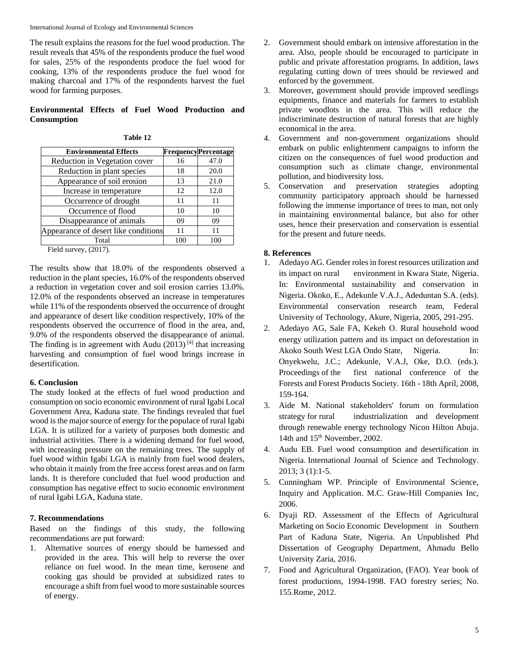International Journal of Ecology and Environmental Sciences

The result explains the reasons for the fuel wood production. The result reveals that 45% of the respondents produce the fuel wood for sales, 25% of the respondents produce the fuel wood for cooking, 13% of the respondents produce the fuel wood for making charcoal and 17% of the respondents harvest the fuel wood for farming purposes.

# **Environmental Effects of Fuel Wood Production and Consumption**

| anle |  |
|------|--|
|------|--|

| <b>Environmental Effects</b>         |     | <b>FrequencyPercentage</b> |
|--------------------------------------|-----|----------------------------|
| Reduction in Vegetation cover        | 16  | 47.0                       |
| Reduction in plant species           | 18  | 20.0                       |
| Appearance of soil erosion           | 13  | 21.0                       |
| Increase in temperature              | 12  | 12.0                       |
| Occurrence of drought                | 11  | 11                         |
| Occurrence of flood                  | 10  | 10                         |
| Disappearance of animals             | 09  | 09                         |
| Appearance of desert like conditions | 11  | 11                         |
| Total                                | 100 | 100                        |

Field survey, (2017).

The results show that 18.0% of the respondents observed a reduction in the plant species, 16.0% of the respondents observed a reduction in vegetation cover and soil erosion carries 13.0%. 12.0% of the respondents observed an increase in temperatures while 11% of the respondents observed the occurrence of drought and appearance of desert like condition respectively, 10% of the respondents observed the occurrence of flood in the area, and, 9.0% of the respondents observed the disappearance of animal. The finding is in agreement with Audu  $(2013)^{[4]}$  that increasing harvesting and consumption of fuel wood brings increase in desertification.

## **6. Conclusion**

The study looked at the effects of fuel wood production and consumption on socio economic environment of rural Igabi Local Government Area, Kaduna state. The findings revealed that fuel wood is the major source of energy for the populace of rural Igabi LGA. It is utilized for a variety of purposes both domestic and industrial activities. There is a widening demand for fuel wood, with increasing pressure on the remaining trees. The supply of fuel wood within Igabi LGA is mainly from fuel wood dealers, who obtain it mainly from the free access forest areas and on farm lands. It is therefore concluded that fuel wood production and consumption has negative effect to socio economic environment of rural Igabi LGA, Kaduna state.

# **7. Recommendations**

Based on the findings of this study, the following recommendations are put forward:

1. Alternative sources of energy should be harnessed and provided in the area. This will help to reverse the over reliance on fuel wood. In the mean time, kerosene and cooking gas should be provided at subsidized rates to encourage a shift from fuel wood to more sustainable sources of energy.

- 2. Government should embark on intensive afforestation in the area. Also, people should be encouraged to participate in public and private afforestation programs. In addition, laws regulating cutting down of trees should be reviewed and enforced by the government.
- 3. Moreover, government should provide improved seedlings equipments, finance and materials for farmers to establish private woodlots in the area. This will reduce the indiscriminate destruction of natural forests that are highly economical in the area.
- 4. Government and non-government organizations should embark on public enlightenment campaigns to inform the citizen on the consequences of fuel wood production and consumption such as climate change, environmental pollution, and biodiversity loss.
- 5. Conservation and preservation strategies adopting community participatory approach should be harnessed following the immense importance of trees to man, not only in maintaining environmental balance, but also for other uses, hence their preservation and conservation is essential for the present and future needs.

# **8. References**

- 1. Adedayo AG. Gender roles in forest resources utilization and its impact on rural environment in Kwara State, Nigeria. In: Environmental sustainability and conservation in Nigeria. Okoko, E., Adekunle V.A.J., Adeduntan S.A. (eds). Environmental conservation research team, Federal University of Technology, Akure, Nigeria, 2005, 291-295.
- 2. Adedayo AG, Sale FA, Kekeh O. Rural household wood energy utilization pattern and its impact on deforestation in Akoko South West LGA Ondo State, Nigeria. In: Onyekwelu, J.C.; Adekunle, V.A.J, Oke, D.O. (eds.). Proceedings of the first national conference of the Forests and Forest Products Society. 16th - 18th April, 2008, 159-164.
- 3. Aide M. National stakeholders' forum on formulation strategy for rural industrialization and development through renewable energy technology Nicon Hilton Abuja. 14th and 15<sup>th</sup> November, 2002.
- 4. Audu EB. Fuel wood consumption and desertification in Nigeria. International Journal of Science and Technology. 2013; 3 (1):1-5.
- 5. Cunningham WP. Principle of Environmental Science, Inquiry and Application. M.C. Graw-Hill Companies Inc, 2006.
- 6. Dyaji RD. Assessment of the Effects of Agricultural Marketing on Socio Economic Development in Southern Part of Kaduna State, Nigeria. An Unpublished Phd Dissertation of Geography Department, Ahmadu Bello University Zaria, 2016.
- 7. Food and Agricultural Organization, (FAO). Year book of forest productions, 1994-1998. FAO forestry series; No. 155.Rome, 2012.